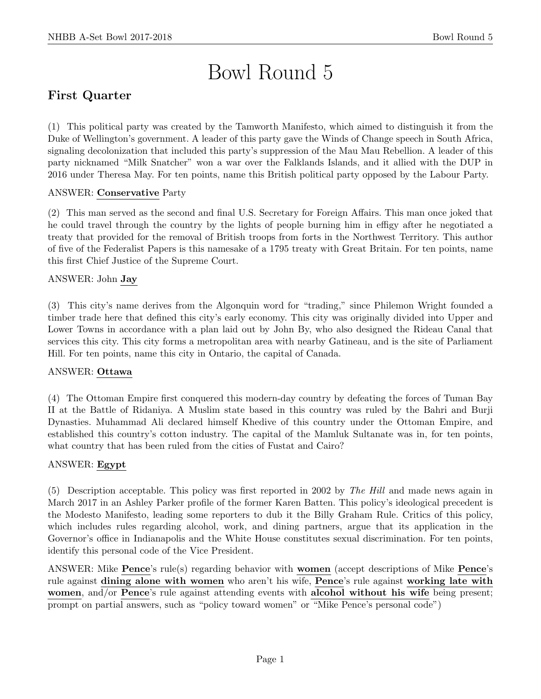# Bowl Round 5

# First Quarter

(1) This political party was created by the Tamworth Manifesto, which aimed to distinguish it from the Duke of Wellington's government. A leader of this party gave the Winds of Change speech in South Africa, signaling decolonization that included this party's suppression of the Mau Mau Rebellion. A leader of this party nicknamed "Milk Snatcher" won a war over the Falklands Islands, and it allied with the DUP in 2016 under Theresa May. For ten points, name this British political party opposed by the Labour Party.

## ANSWER: Conservative Party

(2) This man served as the second and final U.S. Secretary for Foreign Affairs. This man once joked that he could travel through the country by the lights of people burning him in effigy after he negotiated a treaty that provided for the removal of British troops from forts in the Northwest Territory. This author of five of the Federalist Papers is this namesake of a 1795 treaty with Great Britain. For ten points, name this first Chief Justice of the Supreme Court.

# ANSWER: John Jay

(3) This city's name derives from the Algonquin word for "trading," since Philemon Wright founded a timber trade here that defined this city's early economy. This city was originally divided into Upper and Lower Towns in accordance with a plan laid out by John By, who also designed the Rideau Canal that services this city. This city forms a metropolitan area with nearby Gatineau, and is the site of Parliament Hill. For ten points, name this city in Ontario, the capital of Canada.

## ANSWER: Ottawa

(4) The Ottoman Empire first conquered this modern-day country by defeating the forces of Tuman Bay II at the Battle of Ridaniya. A Muslim state based in this country was ruled by the Bahri and Burji Dynasties. Muhammad Ali declared himself Khedive of this country under the Ottoman Empire, and established this country's cotton industry. The capital of the Mamluk Sultanate was in, for ten points, what country that has been ruled from the cities of Fustat and Cairo?

## ANSWER: Egypt

(5) Description acceptable. This policy was first reported in 2002 by The Hill and made news again in March 2017 in an Ashley Parker profile of the former Karen Batten. This policy's ideological precedent is the Modesto Manifesto, leading some reporters to dub it the Billy Graham Rule. Critics of this policy, which includes rules regarding alcohol, work, and dining partners, argue that its application in the Governor's office in Indianapolis and the White House constitutes sexual discrimination. For ten points, identify this personal code of the Vice President.

ANSWER: Mike Pence's rule(s) regarding behavior with women (accept descriptions of Mike Pence's rule against dining alone with women who aren't his wife, Pence's rule against working late with women, and/or Pence's rule against attending events with alcohol without his wife being present; prompt on partial answers, such as "policy toward women" or "Mike Pence's personal code")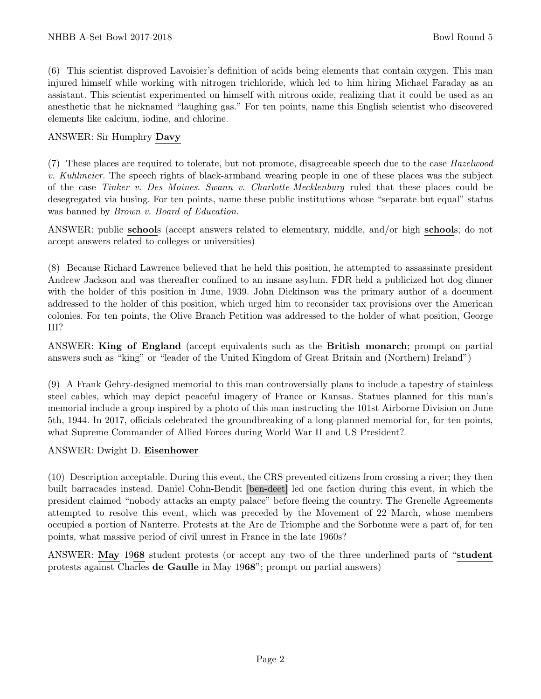(6) This scientist disproved Lavoisier's definition of acids being elements that contain oxygen. This man injured himself while working with nitrogen trichloride, which led to him hiring Michael Faraday as an assistant. This scientist experimented on himself with nitrous oxide, realizing that it could be used as an anesthetic that he nicknamed "laughing gas." For ten points, name this English scientist who discovered elements like calcium, iodine, and chlorine.

#### ANSWER: Sir Humphry Davy

(7) These places are required to tolerate, but not promote, disagreeable speech due to the case Hazelwood v. Kuhlmeier. The speech rights of black-armband wearing people in one of these places was the subject of the case Tinker v. Des Moines. Swann v. Charlotte-Mecklenburg ruled that these places could be desegregated via busing. For ten points, name these public institutions whose "separate but equal" status was banned by *Brown v. Board of Education*.

ANSWER: public schools (accept answers related to elementary, middle, and/or high schools; do not accept answers related to colleges or universities)

(8) Because Richard Lawrence believed that he held this position, he attempted to assassinate president Andrew Jackson and was thereafter confined to an insane asylum. FDR held a publicized hot dog dinner with the holder of this position in June, 1939. John Dickinson was the primary author of a document addressed to the holder of this position, which urged him to reconsider tax provisions over the American colonies. For ten points, the Olive Branch Petition was addressed to the holder of what position, George III?

ANSWER: King of England (accept equivalents such as the British monarch; prompt on partial answers such as "king" or "leader of the United Kingdom of Great Britain and (Northern) Ireland")

(9) A Frank Gehry-designed memorial to this man controversially plans to include a tapestry of stainless steel cables, which may depict peaceful imagery of France or Kansas. Statues planned for this man's memorial include a group inspired by a photo of this man instructing the 101st Airborne Division on June 5th, 1944. In 2017, officials celebrated the groundbreaking of a long-planned memorial for, for ten points, what Supreme Commander of Allied Forces during World War II and US President?

#### ANSWER: Dwight D. Eisenhower

(10) Description acceptable. During this event, the CRS prevented citizens from crossing a river; they then built barracades instead. Daniel Cohn-Bendit [ben-deet] led one faction during this event, in which the president claimed "nobody attacks an empty palace" before fleeing the country. The Grenelle Agreements attempted to resolve this event, which was preceded by the Movement of 22 March, whose members occupied a portion of Nanterre. Protests at the Arc de Triomphe and the Sorbonne were a part of, for ten points, what massive period of civil unrest in France in the late 1960s?

ANSWER: May 1968 student protests (or accept any two of the three underlined parts of "student protests against Charles de Gaulle in May 1968"; prompt on partial answers)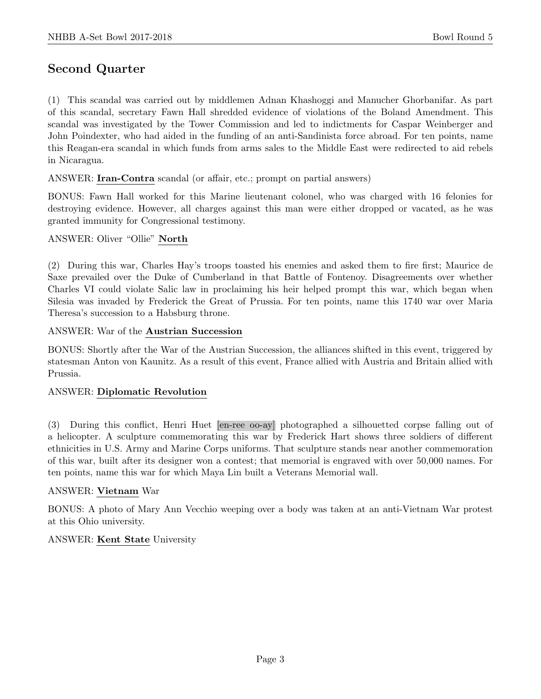# Second Quarter

(1) This scandal was carried out by middlemen Adnan Khashoggi and Manucher Ghorbanifar. As part of this scandal, secretary Fawn Hall shredded evidence of violations of the Boland Amendment. This scandal was investigated by the Tower Commission and led to indictments for Caspar Weinberger and John Poindexter, who had aided in the funding of an anti-Sandinista force abroad. For ten points, name this Reagan-era scandal in which funds from arms sales to the Middle East were redirected to aid rebels in Nicaragua.

ANSWER: Iran-Contra scandal (or affair, etc.; prompt on partial answers)

BONUS: Fawn Hall worked for this Marine lieutenant colonel, who was charged with 16 felonies for destroying evidence. However, all charges against this man were either dropped or vacated, as he was granted immunity for Congressional testimony.

#### ANSWER: Oliver "Ollie" North

(2) During this war, Charles Hay's troops toasted his enemies and asked them to fire first; Maurice de Saxe prevailed over the Duke of Cumberland in that Battle of Fontenoy. Disagreements over whether Charles VI could violate Salic law in proclaiming his heir helped prompt this war, which began when Silesia was invaded by Frederick the Great of Prussia. For ten points, name this 1740 war over Maria Theresa's succession to a Habsburg throne.

#### ANSWER: War of the Austrian Succession

BONUS: Shortly after the War of the Austrian Succession, the alliances shifted in this event, triggered by statesman Anton von Kaunitz. As a result of this event, France allied with Austria and Britain allied with Prussia.

## ANSWER: Diplomatic Revolution

(3) During this conflict, Henri Huet [en-ree oo-ay] photographed a silhouetted corpse falling out of a helicopter. A sculpture commemorating this war by Frederick Hart shows three soldiers of different ethnicities in U.S. Army and Marine Corps uniforms. That sculpture stands near another commemoration of this war, built after its designer won a contest; that memorial is engraved with over 50,000 names. For ten points, name this war for which Maya Lin built a Veterans Memorial wall.

## ANSWER: Vietnam War

BONUS: A photo of Mary Ann Vecchio weeping over a body was taken at an anti-Vietnam War protest at this Ohio university.

#### ANSWER: Kent State University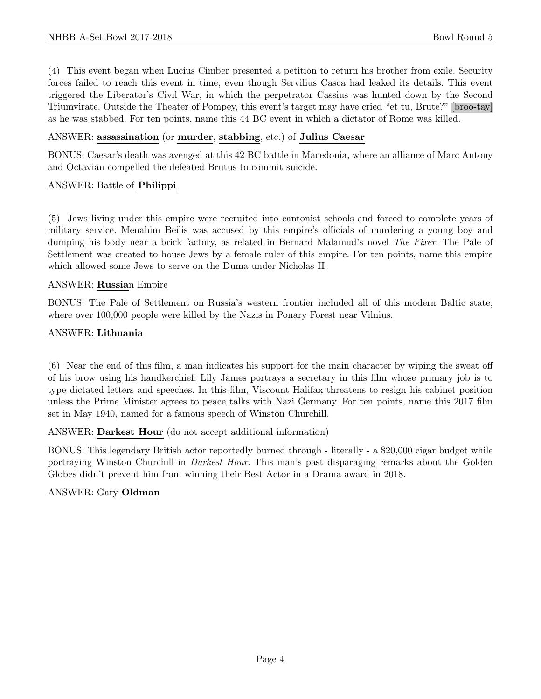(4) This event began when Lucius Cimber presented a petition to return his brother from exile. Security forces failed to reach this event in time, even though Servilius Casca had leaked its details. This event triggered the Liberator's Civil War, in which the perpetrator Cassius was hunted down by the Second Triumvirate. Outside the Theater of Pompey, this event's target may have cried "et tu, Brute?" [broo-tay] as he was stabbed. For ten points, name this 44 BC event in which a dictator of Rome was killed.

#### ANSWER: assassination (or murder, stabbing, etc.) of Julius Caesar

BONUS: Caesar's death was avenged at this 42 BC battle in Macedonia, where an alliance of Marc Antony and Octavian compelled the defeated Brutus to commit suicide.

#### ANSWER: Battle of Philippi

(5) Jews living under this empire were recruited into cantonist schools and forced to complete years of military service. Menahim Beilis was accused by this empire's officials of murdering a young boy and dumping his body near a brick factory, as related in Bernard Malamud's novel The Fixer. The Pale of Settlement was created to house Jews by a female ruler of this empire. For ten points, name this empire which allowed some Jews to serve on the Duma under Nicholas II.

#### ANSWER: Russian Empire

BONUS: The Pale of Settlement on Russia's western frontier included all of this modern Baltic state, where over 100,000 people were killed by the Nazis in Ponary Forest near Vilnius.

#### ANSWER: Lithuania

(6) Near the end of this film, a man indicates his support for the main character by wiping the sweat off of his brow using his handkerchief. Lily James portrays a secretary in this film whose primary job is to type dictated letters and speeches. In this film, Viscount Halifax threatens to resign his cabinet position unless the Prime Minister agrees to peace talks with Nazi Germany. For ten points, name this 2017 film set in May 1940, named for a famous speech of Winston Churchill.

#### ANSWER: Darkest Hour (do not accept additional information)

BONUS: This legendary British actor reportedly burned through - literally - a \$20,000 cigar budget while portraying Winston Churchill in *Darkest Hour*. This man's past disparaging remarks about the Golden Globes didn't prevent him from winning their Best Actor in a Drama award in 2018.

## ANSWER: Gary Oldman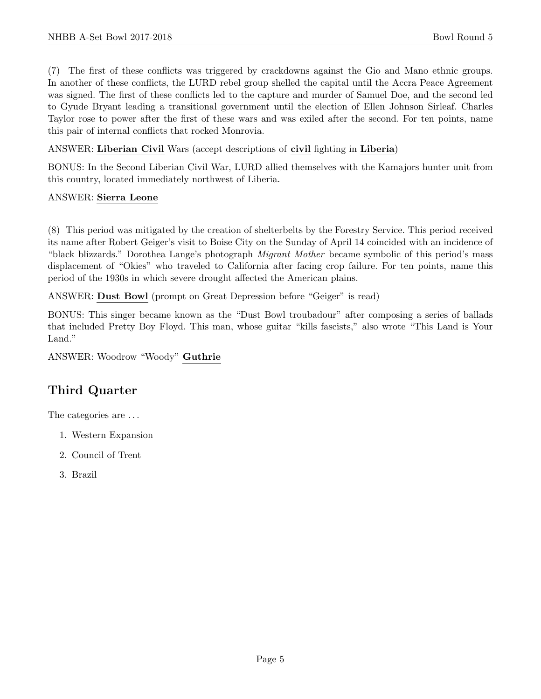(7) The first of these conflicts was triggered by crackdowns against the Gio and Mano ethnic groups. In another of these conflicts, the LURD rebel group shelled the capital until the Accra Peace Agreement was signed. The first of these conflicts led to the capture and murder of Samuel Doe, and the second led to Gyude Bryant leading a transitional government until the election of Ellen Johnson Sirleaf. Charles Taylor rose to power after the first of these wars and was exiled after the second. For ten points, name this pair of internal conflicts that rocked Monrovia.

ANSWER: Liberian Civil Wars (accept descriptions of civil fighting in Liberia)

BONUS: In the Second Liberian Civil War, LURD allied themselves with the Kamajors hunter unit from this country, located immediately northwest of Liberia.

# ANSWER: Sierra Leone

(8) This period was mitigated by the creation of shelterbelts by the Forestry Service. This period received its name after Robert Geiger's visit to Boise City on the Sunday of April 14 coincided with an incidence of "black blizzards." Dorothea Lange's photograph Migrant Mother became symbolic of this period's mass displacement of "Okies" who traveled to California after facing crop failure. For ten points, name this period of the 1930s in which severe drought affected the American plains.

ANSWER: Dust Bowl (prompt on Great Depression before "Geiger" is read)

BONUS: This singer became known as the "Dust Bowl troubadour" after composing a series of ballads that included Pretty Boy Floyd. This man, whose guitar "kills fascists," also wrote "This Land is Your Land."

ANSWER: Woodrow "Woody" Guthrie

# Third Quarter

The categories are . . .

- 1. Western Expansion
- 2. Council of Trent
- 3. Brazil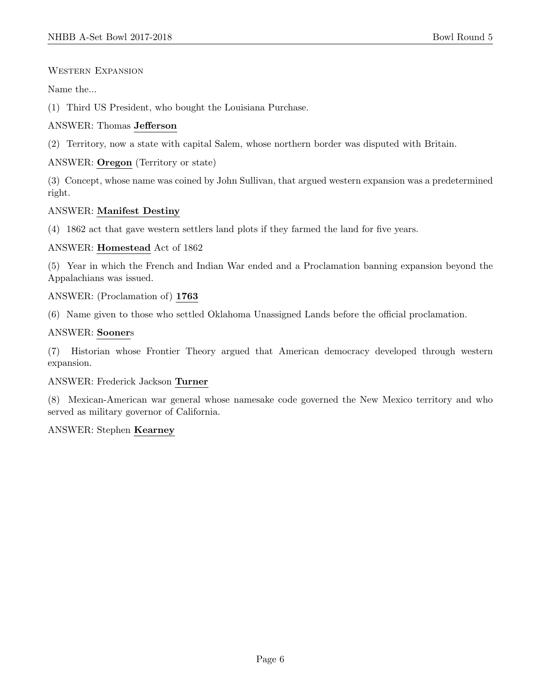Western Expansion

Name the...

(1) Third US President, who bought the Louisiana Purchase.

## ANSWER: Thomas Jefferson

(2) Territory, now a state with capital Salem, whose northern border was disputed with Britain.

# ANSWER: Oregon (Territory or state)

(3) Concept, whose name was coined by John Sullivan, that argued western expansion was a predetermined right.

# ANSWER: Manifest Destiny

(4) 1862 act that gave western settlers land plots if they farmed the land for five years.

## ANSWER: Homestead Act of 1862

(5) Year in which the French and Indian War ended and a Proclamation banning expansion beyond the Appalachians was issued.

ANSWER: (Proclamation of) 1763

(6) Name given to those who settled Oklahoma Unassigned Lands before the official proclamation.

# ANSWER: Sooners

(7) Historian whose Frontier Theory argued that American democracy developed through western expansion.

## ANSWER: Frederick Jackson Turner

(8) Mexican-American war general whose namesake code governed the New Mexico territory and who served as military governor of California.

## ANSWER: Stephen Kearney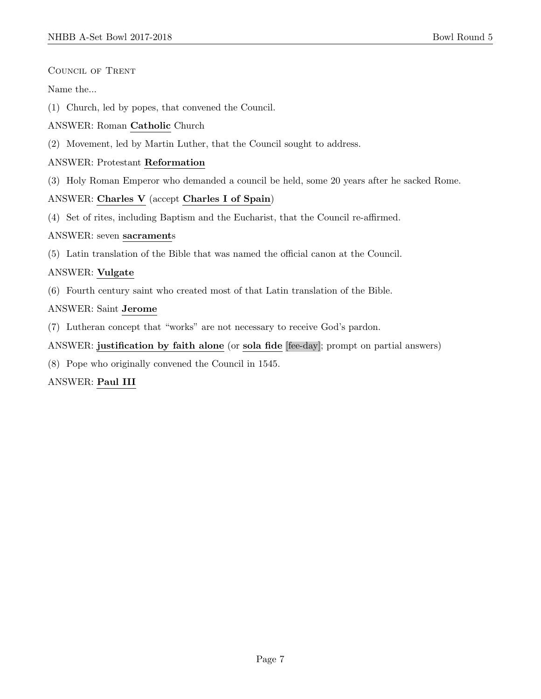Council of Trent

Name the...

- (1) Church, led by popes, that convened the Council.
- ANSWER: Roman Catholic Church
- (2) Movement, led by Martin Luther, that the Council sought to address.

#### ANSWER: Protestant Reformation

(3) Holy Roman Emperor who demanded a council be held, some 20 years after he sacked Rome.

#### ANSWER: Charles V (accept Charles I of Spain)

(4) Set of rites, including Baptism and the Eucharist, that the Council re-affirmed.

#### ANSWER: seven sacraments

(5) Latin translation of the Bible that was named the official canon at the Council.

## ANSWER: Vulgate

(6) Fourth century saint who created most of that Latin translation of the Bible.

## ANSWER: Saint Jerome

(7) Lutheran concept that "works" are not necessary to receive God's pardon.

## ANSWER: justification by faith alone (or sola fide [fee-day]; prompt on partial answers)

(8) Pope who originally convened the Council in 1545.

## ANSWER: Paul III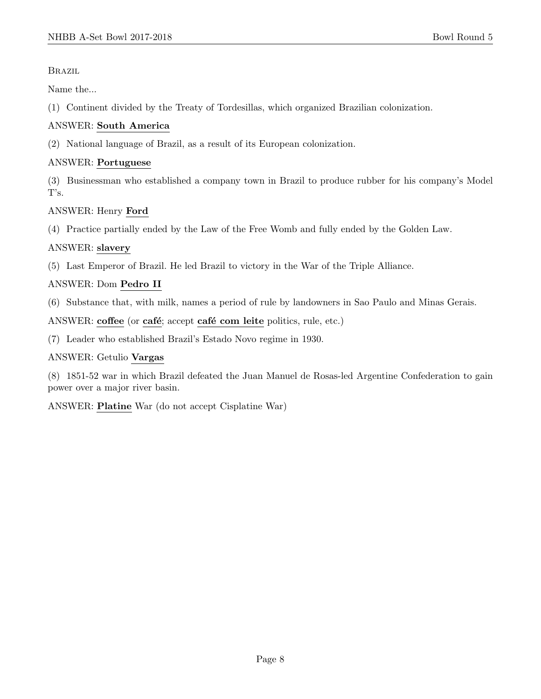**BRAZIL** 

Name the...

(1) Continent divided by the Treaty of Tordesillas, which organized Brazilian colonization.

# ANSWER: South America

(2) National language of Brazil, as a result of its European colonization.

# ANSWER: Portuguese

(3) Businessman who established a company town in Brazil to produce rubber for his company's Model T's.

# ANSWER: Henry Ford

(4) Practice partially ended by the Law of the Free Womb and fully ended by the Golden Law.

# ANSWER: slavery

(5) Last Emperor of Brazil. He led Brazil to victory in the War of the Triple Alliance.

# ANSWER: Dom Pedro II

(6) Substance that, with milk, names a period of rule by landowners in Sao Paulo and Minas Gerais.

ANSWER: coffee (or café; accept café com leite politics, rule, etc.)

(7) Leader who established Brazil's Estado Novo regime in 1930.

# ANSWER: Getulio Vargas

(8) 1851-52 war in which Brazil defeated the Juan Manuel de Rosas-led Argentine Confederation to gain power over a major river basin.

ANSWER: Platine War (do not accept Cisplatine War)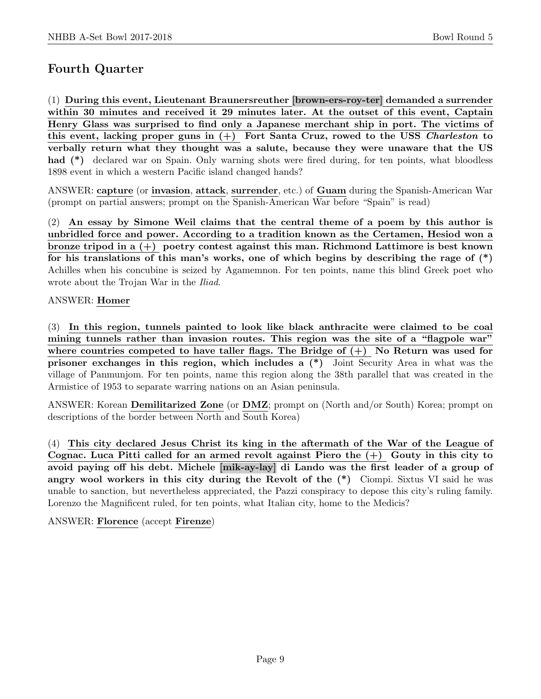# Fourth Quarter

(1) During this event, Lieutenant Braunersreuther [brown-ers-roy-ter] demanded a surrender within 30 minutes and received it 29 minutes later. At the outset of this event, Captain Henry Glass was surprised to find only a Japanese merchant ship in port. The victims of this event, lacking proper guns in  $(+)$  Fort Santa Cruz, rowed to the USS Charleston to verbally return what they thought was a salute, because they were unaware that the US had (\*) declared war on Spain. Only warning shots were fired during, for ten points, what bloodless 1898 event in which a western Pacific island changed hands?

ANSWER: capture (or invasion, attack, surrender, etc.) of Guam during the Spanish-American War (prompt on partial answers; prompt on the Spanish-American War before "Spain" is read)

(2) An essay by Simone Weil claims that the central theme of a poem by this author is unbridled force and power. According to a tradition known as the Certamen, Hesiod won a bronze tripod in a (+) poetry contest against this man. Richmond Lattimore is best known for his translations of this man's works, one of which begins by describing the rage of  $(*)$ Achilles when his concubine is seized by Agamemnon. For ten points, name this blind Greek poet who wrote about the Trojan War in the Iliad.

## ANSWER: Homer

(3) In this region, tunnels painted to look like black anthracite were claimed to be coal mining tunnels rather than invasion routes. This region was the site of a "flagpole war" where countries competed to have taller flags. The Bridge of  $(+)$  No Return was used for prisoner exchanges in this region, which includes a (\*) Joint Security Area in what was the village of Panmunjom. For ten points, name this region along the 38th parallel that was created in the Armistice of 1953 to separate warring nations on an Asian peninsula.

ANSWER: Korean Demilitarized Zone (or DMZ; prompt on (North and/or South) Korea; prompt on descriptions of the border between North and South Korea)

(4) This city declared Jesus Christ its king in the aftermath of the War of the League of Cognac. Luca Pitti called for an armed revolt against Piero the  $(+)$  Gouty in this city to avoid paying off his debt. Michele [mik-ay-lay] di Lando was the first leader of a group of angry wool workers in this city during the Revolt of the (\*) Ciompi. Sixtus VI said he was unable to sanction, but nevertheless appreciated, the Pazzi conspiracy to depose this city's ruling family. Lorenzo the Magnificent ruled, for ten points, what Italian city, home to the Medicis?

ANSWER: Florence (accept Firenze)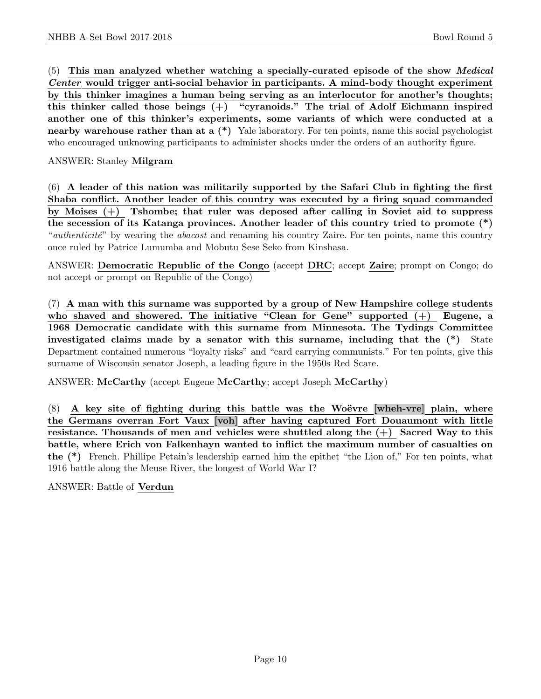(5) This man analyzed whether watching a specially-curated episode of the show Medical Center would trigger anti-social behavior in participants. A mind-body thought experiment by this thinker imagines a human being serving as an interlocutor for another's thoughts; this thinker called those beings  $(+)$  "cyranoids." The trial of Adolf Eichmann inspired another one of this thinker's experiments, some variants of which were conducted at a nearby warehouse rather than at a  $(*)$  Yale laboratory. For ten points, name this social psychologist who encouraged unknowing participants to administer shocks under the orders of an authority figure.

#### ANSWER: Stanley Milgram

(6) A leader of this nation was militarily supported by the Safari Club in fighting the first Shaba conflict. Another leader of this country was executed by a firing squad commanded by Moises (+) Tshombe; that ruler was deposed after calling in Soviet aid to suppress the secession of its Katanga provinces. Another leader of this country tried to promote (\*) "*authenticité*" by wearing the *abacost* and renaming his country Zaire. For ten points, name this country once ruled by Patrice Lumumba and Mobutu Sese Seko from Kinshasa.

ANSWER: Democratic Republic of the Congo (accept DRC; accept Zaire; prompt on Congo; do not accept or prompt on Republic of the Congo)

(7) A man with this surname was supported by a group of New Hampshire college students who shaved and showered. The initiative "Clean for Gene" supported  $(+)$  Eugene, a 1968 Democratic candidate with this surname from Minnesota. The Tydings Committee investigated claims made by a senator with this surname, including that the (\*) State Department contained numerous "loyalty risks" and "card carrying communists." For ten points, give this surname of Wisconsin senator Joseph, a leading figure in the 1950s Red Scare.

ANSWER: McCarthy (accept Eugene McCarthy; accept Joseph McCarthy)

 $(8)$  A key site of fighting during this battle was the Woëvre [wheh-vre] plain, where the Germans overran Fort Vaux [voh] after having captured Fort Douaumont with little resistance. Thousands of men and vehicles were shuttled along the  $(+)$  Sacred Way to this battle, where Erich von Falkenhayn wanted to inflict the maximum number of casualties on the (\*) French. Phillipe Petain's leadership earned him the epithet "the Lion of," For ten points, what 1916 battle along the Meuse River, the longest of World War I?

ANSWER: Battle of Verdun